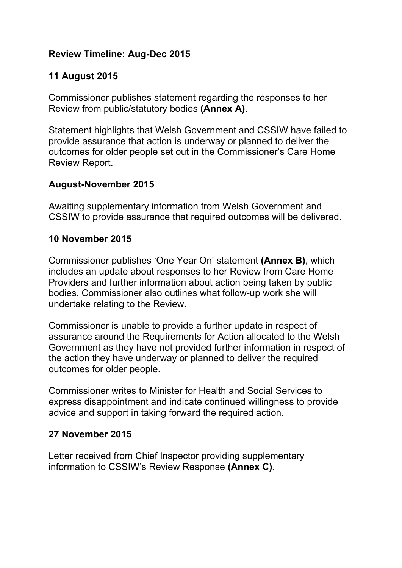# **Review Timeline: Aug-Dec 2015**

# **11 August 2015**

Commissioner publishes statement regarding the responses to her Review from public/statutory bodies **(Annex A)**.

Statement highlights that Welsh Government and CSSIW have failed to provide assurance that action is underway or planned to deliver the outcomes for older people set out in the Commissioner's Care Home Review Report.

## **August-November 2015**

Awaiting supplementary information from Welsh Government and CSSIW to provide assurance that required outcomes will be delivered.

#### **10 November 2015**

Commissioner publishes 'One Year On' statement **(Annex B)**, which includes an update about responses to her Review from Care Home Providers and further information about action being taken by public bodies. Commissioner also outlines what follow-up work she will undertake relating to the Review.

Commissioner is unable to provide a further update in respect of assurance around the Requirements for Action allocated to the Welsh Government as they have not provided further information in respect of the action they have underway or planned to deliver the required outcomes for older people.

Commissioner writes to Minister for Health and Social Services to express disappointment and indicate continued willingness to provide advice and support in taking forward the required action.

#### **27 November 2015**

Letter received from Chief Inspector providing supplementary information to CSSIW's Review Response **(Annex C)**.